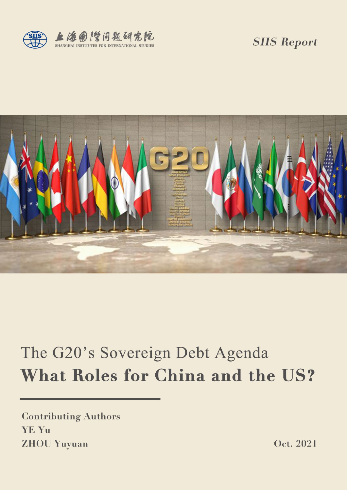

*SIIS Report*



# The G20's Sovereign Debt Agenda What Roles for China and the US?

**Contributing Authors** YE Yu **ZHOU Yuyuan** 

Oct. 2021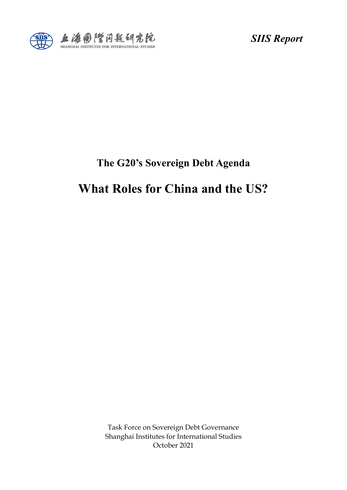

*SIIS Report*

### **The G20's Sovereign Debt Agenda**

# **What Roles for China and the US?**

Task Force on Sovereign Debt Governance Shanghai Institutes for International Studies October 2021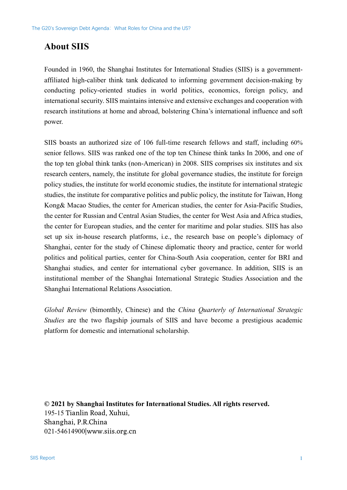### **About SIIS**

Founded in 1960, the Shanghai Institutes for International Studies (SIIS) is a governmentaffiliated high-caliber think tank dedicated to informing government decision-making by conducting policy-oriented studies in world politics, economics, foreign policy, and international security. SIIS maintains intensive and extensive exchanges and cooperation with research institutions at home and abroad, bolstering China's international influence and soft power.

SIIS boasts an authorized size of 106 full-time research fellows and staff, including 60% senior fellows. SIIS was ranked one of the top ten Chinese think tanks In 2006, and one of the top ten global think tanks (non-American) in 2008. SIIS comprises six institutes and six research centers, namely, the institute for global governance studies, the institute for foreign policy studies, the institute for world economic studies, the institute for international strategic studies, the institute for comparative politics and public policy, the institute for Taiwan, Hong Kong& Macao Studies, the center for American studies, the center for Asia-Pacific Studies, the center for Russian and Central Asian Studies, the center for West Asia and Africa studies, the center for European studies, and the center for maritime and polar studies. SIIS has also set up six in-house research platforms, i.e., the research base on people's diplomacy of Shanghai, center for the study of Chinese diplomatic theory and practice, center for world politics and political parties, center for China-South Asia cooperation, center for BRI and Shanghai studies, and center for international cyber governance. In addition, SIIS is an institutional member of the Shanghai International Strategic Studies Association and the Shanghai International Relations Association.

*Global Review* (bimonthly, Chinese) and the *China Quarterly of International Strategic Studies* are the two flagship journals of SIIS and have become a prestigious academic platform for domestic and international scholarship.

**© 2021 by Shanghai Institutes for International Studies. All rights reserved.** 195-15 Tianlin Road, Xuhui, Shanghai, P.R.China 021-54614900|www.siis.org.cn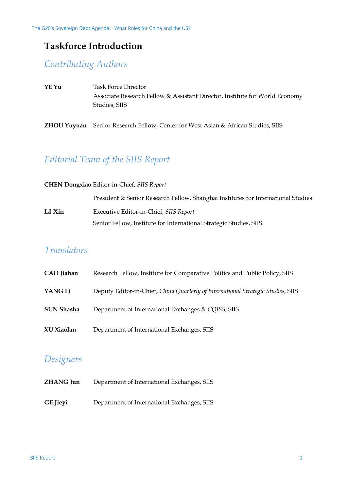### **Taskforce Introduction**

### *Contributing Authors*

- **YE Yu** Task Force Director Associate Research Fellow & Assistant Director, Institute for World Economy Studies, SIIS
- **ZHOU Yuyuan** Senior Research Fellow, Center for West Asian & African Studies, SIIS

### *Editorial Team of the SIIS Report*

#### **CHEN Dongxiao** Editor-in-Chief, *SIIS Report*

President & Senior Research Fellow, Shanghai Institutes for International Studies **LI Xin** Executive Editor-in-Chief, *SIIS Report* Senior Fellow, Institute for International Strategic Studies, SIIS

### *Translators*

| CAO Jiahan        | Research Fellow, Institute for Comparative Politics and Public Policy, SIIS      |
|-------------------|----------------------------------------------------------------------------------|
| YANG Li           | Deputy Editor-in-Chief, China Quarterly of International Strategic Studies, SIIS |
| <b>SUN Shasha</b> | Department of International Exchanges & CQISS, SIIS                              |
| XU Xiaolan        | Department of International Exchanges, SIIS                                      |

### *Designers*

| ZHANG Jun | Department of International Exchanges, SIIS |
|-----------|---------------------------------------------|
| GE Jieyi  | Department of International Exchanges, SIIS |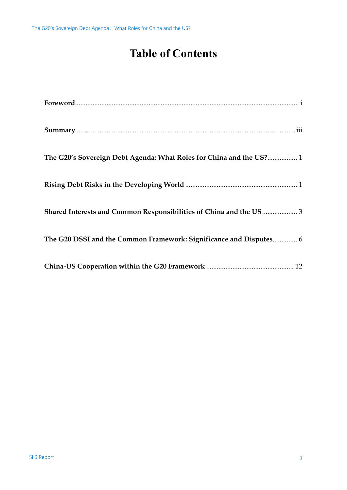# **Table of Contents**

| $\textbf{For} \textbf{word}.\textcolor{red}{\textbf{neword}.\textcolor{red}{\textbf{neword}.\textcolor{red}{\textbf{newd}.\textcolor{red}{\textbf{newd}.\textcolor{red}{\textbf{newd}.\textcolor{red}{\textbf{newd}.\textcolor{red}{\textbf{newd}.\textcolor{red}{\textbf{newd}.\textcolor{red}{\textbf{newd}.\textcolor{red}{\textbf{newd}.\textcolor{red}{\textbf{newd}.\textcolor{red}{\textbf{newd}.\textcolor{red}{\textbf{newd}.\textcolor{red}{\textbf{newd}.\textcolor{red}{\textbf{newd}.\textcolor{red}{\textbf{newd}$ |
|----------------------------------------------------------------------------------------------------------------------------------------------------------------------------------------------------------------------------------------------------------------------------------------------------------------------------------------------------------------------------------------------------------------------------------------------------------------------------------------------------------------------------------|
|                                                                                                                                                                                                                                                                                                                                                                                                                                                                                                                                  |
| The G20's Sovereign Debt Agenda: What Roles for China and the US? 1                                                                                                                                                                                                                                                                                                                                                                                                                                                              |
|                                                                                                                                                                                                                                                                                                                                                                                                                                                                                                                                  |
| Shared Interests and Common Responsibilities of China and the US  3                                                                                                                                                                                                                                                                                                                                                                                                                                                              |
| The G20 DSSI and the Common Framework: Significance and Disputes 6                                                                                                                                                                                                                                                                                                                                                                                                                                                               |
|                                                                                                                                                                                                                                                                                                                                                                                                                                                                                                                                  |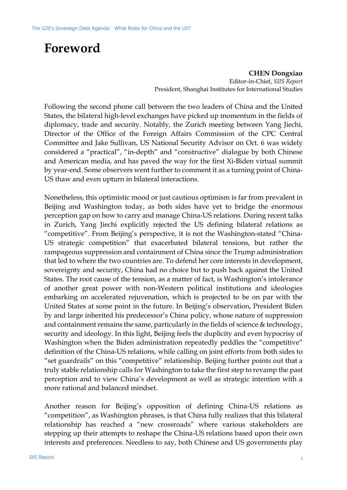# <span id="page-5-0"></span>**Foreword**

**CHEN Dongxiao** Editor-in-Chief, *SIIS Report* President, Shanghai Institutes for International Studies

Following the second phone call between the two leaders of China and the United States, the bilateral high-level exchanges have picked up momentum in the fields of diplomacy, trade and security. Notably, the Zurich meeting between Yang Jiechi, Director of the Office of the Foreign Affairs Commission of the CPC Central Committee and Jake Sullivan, US National Security Advisor on Oct. 6 was widely considered a "practical", "in-depth" and "constructive" dialogue by both Chinese and American media, and has paved the way for the first Xi-Biden virtual summit by year-end. Some observers went further to comment it as a turning point of China-US thaw and even upturn in bilateral interactions.

Nonetheless, this optimistic mood or just cautious optimism is far from prevalent in Beijing and Washington today, as both sides have yet to bridge the enormous perception gap on how to carry and manage China-US relations. During recent talks in Zurich, Yang Jiechi explicitly rejected the US defining bilateral relations as "competitive". From Beijing's perspective, it is not the Washington-stated "China-US strategic competition" that exacerbated bilateral tensions, but rather the rampageous suppression and containment of China since the Trump administration that led to where the two countries are. To defend her core interests in development, sovereignty and security, China had no choice but to push back against the United States. The root cause of the tension, as a matter of fact, is Washington's intolerance of another great power with non-Western political institutions and ideologies embarking on accelerated rejuvenation, which is projected to be on par with the United States at some point in the future. In Beijing's observation, President Biden by and large inherited his predecessor's China policy, whose nature of suppression and containment remains the same, particularly in the fields of science & technology, security and ideology. In this light, Beijing feels the duplicity and even hypocrisy of Washington when the Biden administration repeatedly peddles the "competitive" definition of the China-US relations, while calling on joint efforts from both sides to "set guardrails" on this "competitive" relationship. Beijing further points out that a truly stable relationship calls for Washington to take the first step to revamp the past perception and to view China's development as well as strategic intention with a more rational and balanced mindset.

Another reason for Beijing's opposition of defining China-US relations as "competition", as Washington phrases, is that China fully realizes that this bilateral relationship has reached a "new crossroads" where various stakeholders are stepping up their attempts to reshape the China-US relations based upon their own interests and preferences. Needless to say, both Chinese and US governments play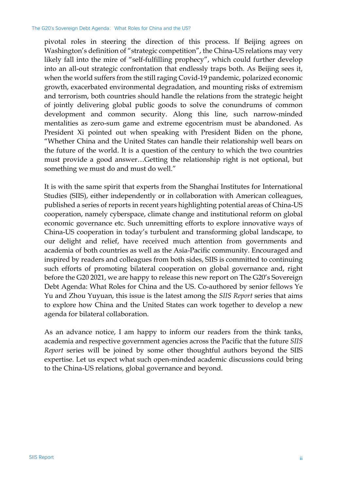pivotal roles in steering the direction of this process. If Beijing agrees on Washington's definition of "strategic competition", the China-US relations may very likely fall into the mire of "self-fulfilling prophecy", which could further develop into an all-out strategic confrontation that endlessly traps both. As Beijing sees it, when the world suffers from the still raging Covid-19 pandemic, polarized economic growth, exacerbated environmental degradation, and mounting risks of extremism and terrorism, both countries should handle the relations from the strategic height of jointly delivering global public goods to solve the conundrums of common development and common security. Along this line, such narrow-minded mentalities as zero-sum game and extreme egocentrism must be abandoned. As President Xi pointed out when speaking with President Biden on the phone, "Whether China and the United States can handle their relationship well bears on the future of the world. It is a question of the century to which the two countries must provide a good answer…Getting the relationship right is not optional, but something we must do and must do well."

It is with the same spirit that experts from the Shanghai Institutes for International Studies (SIIS), either independently or in collaboration with American colleagues, published a series of reports in recent years highlighting potential areas of China-US cooperation, namely cyberspace, climate change and institutional reform on global economic governance etc. Such unremitting efforts to explore innovative ways of China-US cooperation in today's turbulent and transforming global landscape, to our delight and relief, have received much attention from governments and academia of both countries as well as the Asia-Pacific community. Encouraged and inspired by readers and colleagues from both sides, SIIS is committed to continuing such efforts of promoting bilateral cooperation on global governance and, right before the G20 2021, we are happy to release this new report on The G20's Sovereign Debt Agenda: What Roles for China and the US. Co-authored by senior fellows Ye Yu and Zhou Yuyuan, this issue is the latest among the *SIIS Report* series that aims to explore how China and the United States can work together to develop a new agenda for bilateral collaboration.

As an advance notice, I am happy to inform our readers from the think tanks, academia and respective government agencies across the Pacific that the future *SIIS Report* series will be joined by some other thoughtful authors beyond the SIIS expertise. Let us expect what such open-minded academic discussions could bring to the China-US relations, global governance and beyond.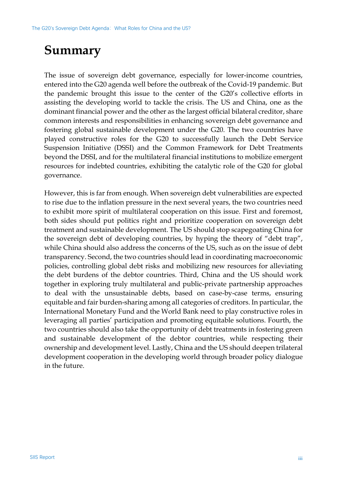# <span id="page-7-0"></span>**Summary**

The issue of sovereign debt governance, especially for lower-income countries, entered into the G20 agenda well before the outbreak of the Covid-19 pandemic. But the pandemic brought this issue to the center of the G20's collective efforts in assisting the developing world to tackle the crisis. The US and China, one as the dominant financial power and the other as the largest official bilateral creditor, share common interests and responsibilities in enhancing sovereign debt governance and fostering global sustainable development under the G20. The two countries have played constructive roles for the G20 to successfully launch the Debt Service Suspension Initiative (DSSI) and the Common Framework for Debt Treatments beyond the DSSI, and for the multilateral financial institutions to mobilize emergent resources for indebted countries, exhibiting the catalytic role of the G20 for global governance.

<span id="page-7-1"></span>However, this is far from enough. When sovereign debt vulnerabilities are expected to rise due to the inflation pressure in the next several years, the two countries need to exhibit more spirit of multilateral cooperation on this issue. First and foremost, both sides should put politics right and prioritize cooperation on sovereign debt treatment and sustainable development. The US should stop scapegoating China for the sovereign debt of developing countries, by hyping the theory of "debt trap", while China should also address the concerns of the US, such as on the issue of debt transparency. Second, the two countries should lead in coordinating macroeconomic policies, controlling global debt risks and mobilizing new resources for alleviating the debt burdens of the debtor countries. Third, China and the US should work together in exploring truly multilateral and public-private partnership approaches to deal with the unsustainable debts, based on case-by-case terms, ensuring equitable and fair burden-sharing among all categories of creditors. In particular, the International Monetary Fund and the World Bank need to play constructive roles in leveraging all parties' participation and promoting equitable solutions. Fourth, the two countries should also take the opportunity of debt treatments in fostering green and sustainable development of the debtor countries, while respecting their ownership and development level. Lastly, China and the US should deepen trilateral development cooperation in the developing world through broader policy dialogue in the future.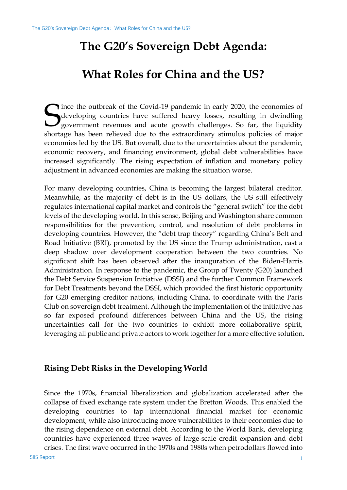# **The G20's Sovereign Debt Agenda:**

## **What Roles for China and the US?**

<span id="page-8-0"></span>ince the outbreak of the Covid-19 pandemic in early 2020, the economies of developing countries have suffered heavy losses, resulting in dwindling government revenues and acute growth challenges. So far, the liquidity shortage has been relieved due to the extraordinary stimulus policies of major economies led by the US. But overall, due to the uncertainties about the pandemic, economic recovery, and financing environment, global debt vulnerabilities have increased significantly. The rising expectation of inflation and monetary policy adjustment in advanced economies are making the situation worse. S

For many developing countries, China is becoming the largest bilateral creditor. Meanwhile, as the majority of debt is in the US dollars, the US still effectively regulates international capital market and controls the "general switch" for the debt levels of the developing world. In this sense, Beijing and Washington share common responsibilities for the prevention, control, and resolution of debt problems in developing countries. However, the "debt trap theory" regarding China's Belt and Road Initiative (BRI), promoted by the US since the Trump administration, cast a deep shadow over development cooperation between the two countries. No significant shift has been observed after the inauguration of the Biden-Harris Administration. In response to the pandemic, the Group of Twenty (G20) launched the Debt Service Suspension Initiative (DSSI) and the further Common Framework for Debt Treatments beyond the DSSI, which provided the first historic opportunity for G20 emerging creditor nations, including China, to coordinate with the Paris Club on sovereign debt treatment. Although the implementation of the initiative has so far exposed profound differences between China and the US, the rising uncertainties call for the two countries to exhibit more collaborative spirit, leveraging all public and private actors to work together for a more effective solution.

#### <span id="page-8-1"></span>**Rising Debt Risks in the Developing World**

Since the 1970s, financial liberalization and globalization accelerated after the collapse of fixed exchange rate system under the Bretton Woods. This enabled the developing countries to tap international financial market for economic development, while also introducing more vulnerabilities to their economies due to the rising dependence on external debt. According to the World Bank, developing countries have experienced three waves of large-scale credit expansion and debt crises. The first wave occurred in the 1970s and 1980s when petrodollars flowed into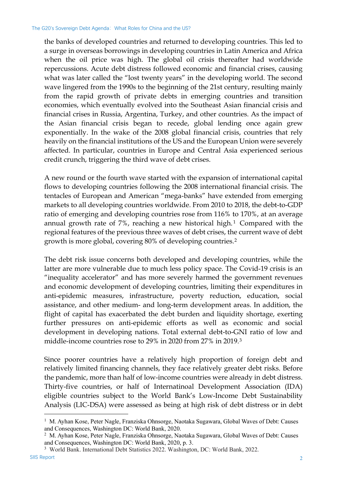the banks of developed countries and returned to developing countries. This led to a surge in overseas borrowings in developing countries in Latin America and Africa when the oil price was high. The global oil crisis thereafter had worldwide repercussions. Acute debt distress followed economic and financial crises, causing what was later called the "lost twenty years" in the developing world. The second wave lingered from the 1990s to the beginning of the 21st century, resulting mainly from the rapid growth of private debts in emerging countries and transition economies, which eventually evolved into the Southeast Asian financial crisis and financial crises in Russia, Argentina, Turkey, and other countries. As the impact of the Asian financial crisis began to recede, global lending once again grew exponentially. In the wake of the 2008 global financial crisis, countries that rely heavily on the financial institutions of the US and the European Union were severely affected. In particular, countries in Europe and Central Asia experienced serious credit crunch, triggering the third wave of debt crises.

A new round or the fourth wave started with the expansion of international capital flows to developing countries following the 2008 international financial crisis. The tentacles of European and American "mega-banks" have extended from emerging markets to all developing countries worldwide. From 2010 to 2018, the debt-to-GDP ratio of emerging and developing countries rose from 116% to 170%, at an average annual growth rate of 7%, reaching a new historical high.<sup>[1](#page-9-0)</sup> Compared with the regional features of the previous three waves of debt crises, the current wave of debt growth is more global, covering 80% of developing countries.[2](#page-9-1)

The debt risk issue concerns both developed and developing countries, while the latter are more vulnerable due to much less policy space. The Covid-19 crisis is an "inequality accelerator" and has more severely harmed the government revenues and economic development of developing countries, limiting their expenditures in anti-epidemic measures, infrastructure, poverty reduction, education, social assistance, and other medium- and long-term development areas. In addition, the flight of capital has exacerbated the debt burden and liquidity shortage, exerting further pressures on anti-epidemic efforts as well as economic and social development in developing nations. Total external debt-to-GNI ratio of low and middle-income countries rose to 29% in 2020 from 27% in 2019.[3](#page-9-2)

Since poorer countries have a relatively high proportion of foreign debt and relatively limited financing channels, they face relatively greater debt risks. Before the pandemic, more than half of low-income countries were already in debt distress. Thirty-five countries, or half of Internatinoal Development Association (IDA) eligible countries subject to the World Bank's Low-Income Debt Sustainability Analysis (LIC-DSA) were assessed as being at high risk of debt distress or in debt

<span id="page-9-2"></span><span id="page-9-1"></span><sup>3</sup> World Bank. International Debt Statistics 2022. Washington, DC: World Bank, 2022.

<span id="page-9-0"></span><sup>&</sup>lt;sup>1</sup> M. Ayhan Kose, Peter Nagle, Franziska Ohnsorge, Naotaka Sugawara, Global Waves of Debt: Causes and Consequences, Washington DC: World Bank, 2020.

<sup>2</sup> M. Ayhan Kose, Peter Nagle, Franziska Ohnsorge, Naotaka Sugawara, Global Waves of Debt: Causes and Consequences, Washington DC: World Bank, 2020, p. 3.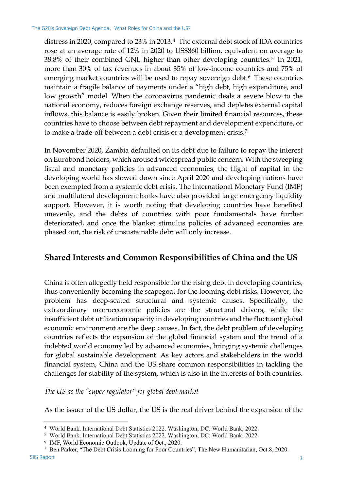distress in 2020, compared to 23% in 2013.[4](#page-10-1) The external debt stock of IDA countries rose at an average rate of 12% in 2020 to US\$860 billion, equivalent on average to 38.8% of their combined GNI, higher than other developing countries.[5](#page-10-2) In 2021, more than 30% of tax revenues in about 35% of low-income countries and 75% of emerging market countries will be used to repay sovereign debt.<sup>[6](#page-10-3)</sup> These countries maintain a fragile balance of payments under a "high debt, high expenditure, and low growth" model. When the coronavirus pandemic deals a severe blow to the national economy, reduces foreign exchange reserves, and depletes external capital inflows, this balance is easily broken. Given their limited financial resources, these countries have to choose between debt repayment and development expenditure, or to make a trade-off between a debt crisis or a development crisis[.7](#page-10-4)

In November 2020, Zambia defaulted on its debt due to failure to repay the interest on Eurobond holders, which aroused widespread public concern. With the sweeping fiscal and monetary policies in advanced economies, the flight of capital in the developing world has slowed down since April 2020 and developing nations have been exempted from a systemic debt crisis. The International Monetary Fund (IMF) and multilateral development banks have also provided large emergency liquidity support. However, it is worth noting that developing countries have benefited unevenly, and the debts of countries with poor fundamentals have further deteriorated, and once the blanket stimulus policies of advanced economies are phased out, the risk of unsustainable debt will only increase.

#### <span id="page-10-0"></span>**Shared Interests and Common Responsibilities of China and the US**

China is often allegedly held responsible for the rising debt in developing countries, thus conveniently becoming the scapegoat for the looming debt risks. However, the problem has deep-seated structural and systemic causes. Specifically, the extraordinary macroeconomic policies are the structural drivers, while the insufficient debt utilization capacity in developing countries and the fluctuant global economic environment are the deep causes. In fact, the debt problem of developing countries reflects the expansion of the global financial system and the trend of a indebted world economy led by advanced economies, bringing systemic challenges for global sustainable development. As key actors and stakeholders in the world financial system, China and the US share common responsibilities in tackling the challenges for stability of the system, which is also in the interests of both countries.

*The US as the "super regulator" for global debt market*

As the issuer of the US dollar, the US is the real driver behind the expansion of the

<sup>4</sup> World Bank. International Debt Statistics 2022. Washington, DC: World Bank, 2022.

<sup>5</sup> World Bank. International Debt Statistics 2022. Washington, DC: World Bank, 2022.

<sup>6</sup> IMF, World Economic Outlook, Update of Oct., 2020.

<span id="page-10-4"></span><span id="page-10-3"></span><span id="page-10-2"></span><span id="page-10-1"></span>SIIS Report 3 <sup>7</sup> Ben Parker, "The Debt Crisis Looming for Poor Countries", The New Humanitarian, Oct.8, 2020.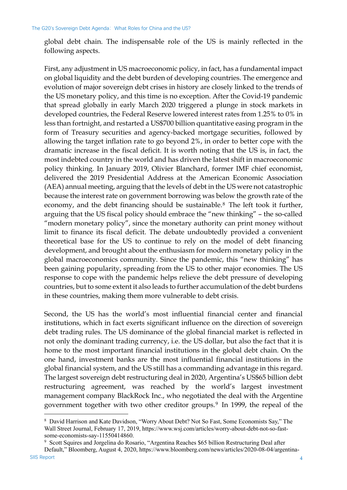global debt chain. The indispensable role of the US is mainly reflected in the following aspects.

First, any adjustment in US macroeconomic policy, in fact, has a fundamental impact on global liquidity and the debt burden of developing countries. The emergence and evolution of major sovereign debt crises in history are closely linked to the trends of the US monetary policy, and this time is no exception. After the Covid-19 pandemic that spread globally in early March 2020 triggered a plunge in stock markets in developed countries, the Federal Reserve lowered interest rates from 1.25% to 0% in less than fortnight, and restarted a US\$700 billion quantitative easing program in the form of Treasury securities and agency-backed mortgage securities, followed by allowing the target inflation rate to go beyond 2%, in order to better cope with the dramatic increase in the fiscal deficit. It is worth noting that the US is, in fact, the most indebted country in the world and has driven the latest shift in macroeconomic policy thinking. In January 2019, Olivier Blanchard, former IMF chief economist, delivered the 2019 Presidential Address at the American Economic Association (AEA) annual meeting, arguing that the levels of debt in the US were not catastrophic because the interest rate on government borrowing was below the growth rate of the economy, and the debt financing should be sustainable.[8](#page-11-0) The left took it further, arguing that the US fiscal policy should embrace the "new thinking" – the so-called "modern monetary policy", since the monetary authority can print money without limit to finance its fiscal deficit. The debate undoubtedly provided a convenient theoretical base for the US to continue to rely on the model of debt financing development, and brought about the enthusiasm for modern monetary policy in the global macroeconomics community. Since the pandemic, this "new thinking" has been gaining popularity, spreading from the US to other major economies. The US response to cope with the pandemic helps relieve the debt pressure of developing countries, but to some extent it also leads to further accumulation of the debt burdens in these countries, making them more vulnerable to debt crisis.

Second, the US has the world's most influential financial center and financial institutions, which in fact exerts significant influence on the direction of sovereign debt trading rules. The US dominance of the global financial market is reflected in not only the dominant trading currency, i.e. the US dollar, but also the fact that it is home to the most important financial institutions in the global debt chain. On the one hand, investment banks are the most influential financial institutions in the global financial system, and the US still has a commanding advantage in this regard. The largest sovereign debt restructuring deal in 2020, Argentina's US\$65 billion debt restructuring agreement, was reached by the world's largest investment management company BlackRock Inc., who negotiated the deal with the Argentine government together with two other creditor groups.[9](#page-11-1) In 1999, the repeal of the

<span id="page-11-0"></span><sup>8</sup> David Harrison and Kate Davidson, "Worry About Debt? Not So Fast, Some Economists Say," The Wall Street Journal, February 17, 2019, https://www.wsj.com/articles/worry-about-debt-not-so-fastsome-economists-say-11550414860.

<span id="page-11-1"></span><sup>9</sup> Scott Squires and Jorgelina do Rosario, "Argentina Reaches \$65 billion Restructuring Deal after Default," Bloomberg, August 4, 2020, https://www.bloomberg.com/news/articles/2020-08-04/argentina-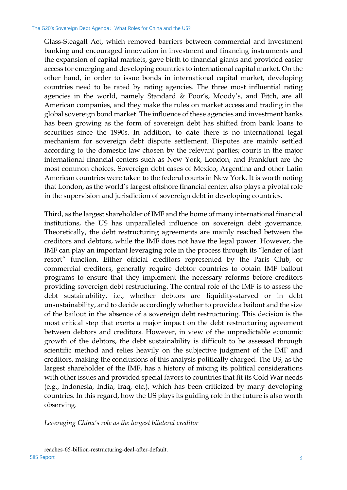Glass-Steagall Act, which removed barriers between commercial and investment banking and encouraged innovation in investment and financing instruments and the expansion of capital markets, gave birth to financial giants and provided easier access for emerging and developing countries to international capital market. On the other hand, in order to issue bonds in international capital market, developing countries need to be rated by rating agencies. The three most influential rating agencies in the world, namely Standard & Poor's, Moody's, and Fitch, are all American companies, and they make the rules on market access and trading in the global sovereign bond market. The influence of these agencies and investment banks has been growing as the form of sovereign debt has shifted from bank loans to securities since the 1990s. In addition, to date there is no international legal mechanism for sovereign debt dispute settlement. Disputes are mainly settled according to the domestic law chosen by the relevant parties; courts in the major international financial centers such as New York, London, and Frankfurt are the most common choices. Sovereign debt cases of Mexico, Argentina and other Latin American countries were taken to the federal courts in New York. It is worth noting that London, as the world's largest offshore financial center, also plays a pivotal role in the supervision and jurisdiction of sovereign debt in developing countries.

Third, as the largest shareholder of IMF and the home of many international financial institutions, the US has unparalleled influence on sovereign debt governance. Theoretically, the debt restructuring agreements are mainly reached between the creditors and debtors, while the IMF does not have the legal power. However, the IMF can play an important leveraging role in the process through its "lender of last resort" function. Either official creditors represented by the Paris Club, or commercial creditors, generally require debtor countries to obtain IMF bailout programs to ensure that they implement the necessary reforms before creditors providing sovereign debt restructuring. The central role of the IMF is to assess the debt sustainability, i.e., whether debtors are liquidity-starved or in debt unsustainability, and to decide accordingly whether to provide a bailout and the size of the bailout in the absence of a sovereign debt restructuring. This decision is the most critical step that exerts a major impact on the debt restructuring agreement between debtors and creditors. However, in view of the unpredictable economic growth of the debtors, the debt sustainability is difficult to be assessed through scientific method and relies heavily on the subjective judgment of the IMF and creditors, making the conclusions of this analysis politically charged. The US, as the largest shareholder of the IMF, has a history of mixing its political considerations with other issues and provided special favors to countries that fit its Cold War needs (e.g., Indonesia, India, Iraq, etc.), which has been criticized by many developing countries. In this regard, how the US plays its guiding role in the future is also worth observing.

*Leveraging China's role as the largest bilateral creditor*

SIIS Report 5 reaches-65-billion-restructuring-deal-after-default.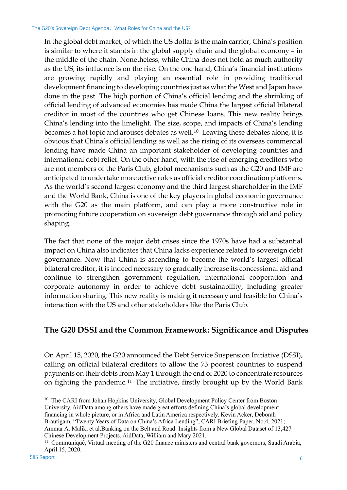In the global debt market, of which the US dollar is the main carrier, China's position is similar to where it stands in the global supply chain and the global economy – in the middle of the chain. Nonetheless, while China does not hold as much authority as the US, its influence is on the rise. On the one hand, China's financial institutions are growing rapidly and playing an essential role in providing traditional development financing to developing countries just as what the West and Japan have done in the past. The high portion of China's official lending and the shrinking of official lending of advanced economies has made China the largest official bilateral creditor in most of the countries who get Chinese loans. This new reality brings China's lending into the limelight. The size, scope, and impacts of China's lending becomes a hot topic and arouses debates as well.[10](#page-13-1) Leaving these debates alone, it is obvious that China's official lending as well as the rising of its overseas commercial lending have made China an important stakeholder of developing countries and international debt relief. On the other hand, with the rise of emerging creditors who are not members of the Paris Club, global mechanisms such as the G20 and IMF are anticipated to undertake more active roles as official creditor coordination platforms. As the world's second largest economy and the third largest shareholder in the IMF and the World Bank, China is one of the key players in global economic governance with the G20 as the main platform, and can play a more constructive role in promoting future cooperation on sovereign debt governance through aid and policy shaping.

The fact that none of the major debt crises since the 1970s have had a substantial impact on China also indicates that China lacks experience related to sovereign debt governance. Now that China is ascending to become the world's largest official bilateral creditor, it is indeed necessary to gradually increase its concessional aid and continue to strengthen government regulation, international cooperation and corporate autonomy in order to achieve debt sustainability, including greater information sharing. This new reality is making it necessary and feasible for China's interaction with the US and other stakeholders like the Paris Club.

### <span id="page-13-0"></span>**The G20 DSSI and the Common Framework: Significance and Disputes**

On April 15, 2020, the G20 announced the Debt Service Suspension Initiative (DSSI), calling on official bilateral creditors to allow the 73 poorest countries to suspend payments on their debts from May 1 through the end of 2020 to concentrate resources on fighting the pandemic.[11](#page-13-2) The initiative, firstly brought up by the World Bank

<span id="page-13-1"></span><sup>&</sup>lt;sup>10</sup> The CARI from Johan Hopkins University, Global Development Policy Center from Boston University, AidData among others have made great efforts defining China's global development financing in whole picture, or in Africa and Latin America respectively. Kevin Acker, Deborah Brautigam, "Twenty Years of Data on China's Africa Lending", CARI Briefing Paper, No.4, 2021; Ammar A. Malik, et al.Banking on the Belt and Road: Insights from a New Global Dataset of 13,427 Chinese Development Projects, AidData, William and Mary 2021.

<span id="page-13-2"></span><sup>&</sup>lt;sup>11</sup> Communiqué, Virtual meeting of the G20 finance ministers and central bank governors, Saudi Arabia, April 15, 2020.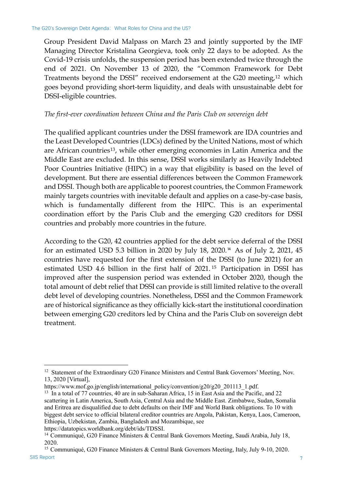Group President David Malpass on March 23 and jointly supported by the IMF Managing Director Kristalina Georgieva, took only 22 days to be adopted. As the Covid-19 crisis unfolds, the suspension period has been extended twice through the end of 2021. On November 13 of 2020, the "Common Framework for Debt Treatments beyond the DSSI" received endorsement at the G20 meeting,<sup>[12](#page-14-0)</sup> which goes beyond providing short-term liquidity, and deals with unsustainable debt for DSSI-eligible countries.

#### *The first-ever coordination between China and the Paris Club on sovereign debt*

The qualified applicant countries under the DSSI framework are IDA countries and the Least Developed Countries (LDCs) defined by the United Nations, most of which are African countries<sup>13</sup>, while other emerging economies in Latin America and the Middle East are excluded. In this sense, DSSI works similarly as Heavily Indebted Poor Countries Initiative (HIPC) in a way that eligibility is based on the level of development. But there are essential differences between the Common Framework and DSSI. Though both are applicable to poorest countries, the Common Framework mainly targets countries with inevitable default and applies on a case-by-case basis, which is fundamentally different from the HIPC. This is an experimental coordination effort by the Paris Club and the emerging G20 creditors for DSSI countries and probably more countries in the future.

According to the G20, 42 countries applied for the debt service deferral of the DSSI for an estimated USD 5.3 billion in 2020 by July 18, 2020.[14](#page-14-2) As of July 2, 2021, 45 countries have requested for the first extension of the DSSI (to June 2021) for an estimated USD 4.6 billion in the first half of 2021. [15](#page-14-3) Participation in DSSI has improved after the suspension period was extended in October 2020, though the total amount of debt relief that DSSI can provide is still limited relative to the overall debt level of developing countries. Nonetheless, DSSI and the Common Framework are of historical significance as they officially kick-start the institutional coordination between emerging G20 creditors led by China and the Paris Club on sovereign debt treatment.

https://www.mof.go.jp/english/international\_policy/convention/g20/g20\_201113\_1.pdf.

https://datatopics.worldbank.org/debt/ids/TDSSI.

<span id="page-14-0"></span><sup>&</sup>lt;sup>12</sup> Statement of the Extraordinary G20 Finance Ministers and Central Bank Governors' Meeting, Nov. 13, 2020 [Virtual],

<span id="page-14-1"></span><sup>&</sup>lt;sup>13</sup> In a total of 77 countries, 40 are in sub-Saharan Africa, 15 in East Asia and the Pacific, and 22 scattering in Latin America, South Asia, Central Asia and the Middle East. Zimbabwe, Sudan, Somalia and Eritrea are disqualified due to debt defaults on their IMF and World Bank obligations. To 10 with biggest debt service to official bilateral creditor countries are Angola, Pakistan, Kenya, Laos, Cameroon, Ethiopia, Uzbekistan, Zambia, Bangladesh and Mozambique, see

<sup>&</sup>lt;sup>14</sup> Communiqué, G20 Finance Ministers & Central Bank Governors Meeting, Saudi Arabia, July 18, 2020.

<span id="page-14-3"></span><span id="page-14-2"></span> $SIS$  Report  $\overline{7}$ <sup>15</sup> Communiqué, G20 Finance Ministers & Central Bank Governors Meeting, Italy, July 9-10, 2020.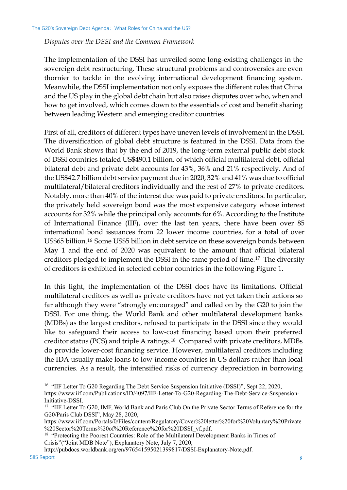#### *Disputes over the DSSI and the Common Framework*

The implementation of the DSSI has unveiled some long-existing challenges in the sovereign debt restructuring. These structural problems and controversies are even thornier to tackle in the evolving international development financing system. Meanwhile, the DSSI implementation not only exposes the different roles that China and the US play in the global debt chain but also raises disputes over who, when and how to get involved, which comes down to the essentials of cost and benefit sharing between leading Western and emerging creditor countries.

First of all, creditors of different types have uneven levels of involvement in the DSSI. The diversification of global debt structure is featured in the DSSI. Data from the World Bank shows that by the end of 2019, the long-term external public debt stock of DSSI countries totaled US\$490.1 billion, of which official multilateral debt, official bilateral debt and private debt accounts for 43%, 36% and 21% respectively. And of the US\$42.7 billion debt service payment due in 2020, 32% and 41% was due to official multilateral/bilateral creditors individually and the rest of 27% to private creditors. Notably, more than 40% of the interest due was paid to private creditors. In particular, the privately held sovereign bond was the most expensive category whose interest accounts for 32% while the principal only accounts for 6%. According to the Institute of International Finance (IIF), over the last ten years, there have been over 85 international bond issuances from 22 lower income countries, for a total of over US\$65 billion.[16](#page-15-0) Some US\$5 billion in debt service on these sovereign bonds between May 1 and the end of 2020 was equivalent to the amount that official bilateral creditors pledged to implement the DSSI in the same period of time.[17](#page-15-1) The diversity of creditors is exhibited in selected debtor countries in the following Figure 1.

In this light, the implementation of the DSSI does have its limitations. Official multilateral creditors as well as private creditors have not yet taken their actions so far although they were "strongly encouraged" and called on by the G20 to join the DSSI. For one thing, the World Bank and other multilateral development banks (MDBs) as the largest creditors, refused to participate in the DSSI since they would like to safeguard their access to low-cost financing based upon their preferred creditor status (PCS) and triple A ratings.[18](#page-15-2) Compared with private creditors, MDBs do provide lower-cost financing service. However, multilateral creditors including the IDA usually make loans to low-income countries in US dollars rather than local currencies. As a result, the intensified risks of currency depreciation in borrowing

<span id="page-15-2"></span>SIIS Report 80 and 80 and 80 and 80 and 80 and 80 and 80 and 80 and 80 and 80 and 80 and 80 and 80 and 80 and 80 and 80 and 80 and 80 and 80 and 80 and 80 and 80 and 80 and 80 and 80 and 80 and 80 and 80 and 80 and 80 and [http://pubdocs.worldbank.org/en/976541595021399817/DSSI-Explanatory-Note.pdf.](http://pubdocs.worldbank.org/en/976541595021399817/DSSI-Explanatory-Note.pdf)

<span id="page-15-0"></span><sup>&</sup>lt;sup>16</sup> "IIF Letter To G20 Regarding The Debt Service Suspension Initiative (DSSI)", Sept 22, 2020, https://www.iif.com/Publications/ID/4097/IIF-Letter-To-G20-Regarding-The-Debt-Service-Suspension-Initiative-DSSI.

<span id="page-15-1"></span><sup>&</sup>lt;sup>17</sup> "IIF Letter To G20, IMF, World Bank and Paris Club On the Private Sector Terms of Reference for the G20/Paris Club DSSI", May 28, 2020,

https://www.iif.com/Portals/0/Files/content/Regulatory/Cover%20letter%20for%20Voluntary%20Private %20Sector%20Terms%20of%20Reference%20for%20DSSI\_vf.pdf.

<sup>&</sup>lt;sup>18</sup> "Protecting the Poorest Countries: Role of the Multilateral Development Banks in Times of Crisis"("Joint MDB Note"), Explanatory Note, July 7, 2020,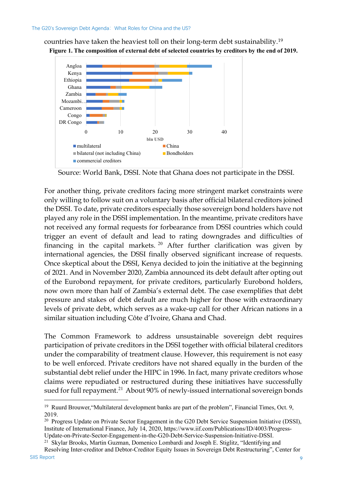countries have taken the heaviest toll on their long-term debt sustainability[.19](#page-16-0) **Figure 1. The composition of external debt of selected countries by creditors by the end of 2019.**



Source: World Bank, DSSI. Note that Ghana does not participate in the DSSI.

For another thing, private creditors facing more stringent market constraints were only willing to follow suit on a voluntary basis after official bilateral creditors joined the DSSI. To date, private creditors especially those sovereign bond holders have not played any role in the DSSI implementation. In the meantime, private creditors have not received any formal requests for forbearance from DSSI countries which could trigger an event of default and lead to rating downgrades and difficulties of financing in the capital markets.  $20$  After further clarification was given by international agencies, the DSSI finally observed significant increase of requests. Once skeptical about the DSSI, Kenya decided to join the initiative at the beginning of 2021. And in November 2020, Zambia announced its debt default after opting out of the Eurobond repayment, for private creditors, particularly Eurobond holders, now own more than half of Zambia's external debt. The case exemplifies that debt pressure and stakes of debt default are much higher for those with extraordinary levels of private debt, which serves as a wake-up call for other African nations in a similar situation including Côte d'Ivoire, Ghana and Chad.

The Common Framework to address unsustainable sovereign debt requires participation of private creditors in the DSSI together with official bilateral creditors under the comparability of treatment clause. However, this requirement is not easy to be well enforced. Private creditors have not shared equally in the burden of the substantial debt relief under the HIPC in 1996. In fact, many private creditors whose claims were repudiated or restructured during these initiatives have successfully sued for full repayment.<sup>[21](#page-16-2)</sup> About 90% of newly-issued international sovereign bonds

<sup>21</sup> Skylar Brooks, Martin Guzman, Domenico Lombardi and Joseph E. Stiglitz, "Identifying and

<span id="page-16-0"></span><sup>&</sup>lt;sup>19</sup> Ruurd Brouwer, "Multilateral development banks are part of the problem", Financial Times, Oct. 9, 2019.

<sup>&</sup>lt;sup>2015</sup>. Progress Update on Private Sector Engagement in the G20 Debt Service Suspension Initiative (DSSI), Institute of International Finance, July 14, 2020, [https://www.iif.com/Publications/ID/4003/Progress-](https://www.iif.com/Publications/ID/4003/Progress-Update-on-Private-Sector-Engagement-in-the-G20-Debt-Service-Suspension-Initiative-DSSI)[Update-on-Private-Sector-Engagement-in-the-G20-Debt-Service-Suspension-Initiative-DSSI.](https://www.iif.com/Publications/ID/4003/Progress-Update-on-Private-Sector-Engagement-in-the-G20-Debt-Service-Suspension-Initiative-DSSI)

<span id="page-16-2"></span><span id="page-16-1"></span>SIIS Report 9 Resolving Inter-creditor and Debtor-Creditor Equity Issues in Sovereign Debt Restructuring", Center for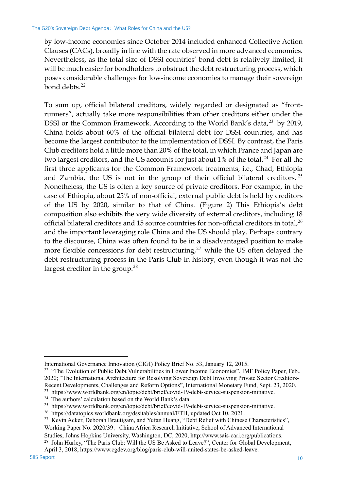by low-income economies since October 2014 included enhanced Collective Action Clauses (CACs), broadly in line with the rate observed in more advanced economies. Nevertheless, as the total size of DSSI countries' bond debt is relatively limited, it will be much easier for bondholders to obstruct the debt restructuring process, which poses considerable challenges for low-income economies to manage their sovereign bond debts. $^{22}$  $^{22}$  $^{22}$ 

To sum up, official bilateral creditors, widely regarded or designated as "frontrunners", actually take more responsibilities than other creditors either under the DSSI or the Common Framework. According to the World Bank's data,<sup>[23](#page-17-1)</sup> by 2019, China holds about 60% of the official bilateral debt for DSSI countries, and has become the largest contributor to the implementation of DSSI. By contrast, the Paris Club creditors hold a little more than 20% of the total, in which France and Japan are two largest creditors, and the US accounts for just about 1% of the total.<sup>[24](#page-17-2)</sup> For all the first three applicants for the Common Framework treatments, i.e., Chad, Ethiopia and Zambia, the US is not in the group of their official bilateral creditors.<sup>[25](#page-17-3)</sup> Nonetheless, the US is often a key source of private creditors. For example, in the case of Ethiopia, about 25% of non-official, external public debt is held by creditors of the US by 2020, similar to that of China. (Figure 2) This Ethiopia's debt composition also exhibits the very wide diversity of external creditors, including 18 official bilateral creditors and 15 source countries for non-official creditors in total, $^{26}$  $^{26}$  $^{26}$ and the important leveraging role China and the US should play. Perhaps contrary to the discourse, China was often found to be in a disadvantaged position to make more flexible concessions for debt restructuring, $27$  while the US often delayed the debt restructuring process in the Paris Club in history, even though it was not the largest creditor in the group.<sup>[28](#page-17-6)</sup>

International Governance Innovation (CIGI) Policy Brief No. 53, January 12, 2015.

<span id="page-17-0"></span><sup>&</sup>lt;sup>22</sup> "The Evolution of Public Debt Vulnerabilities in Lower Income Economies", IMF Policy Paper, Feb., 2020; "The International Architecture for Resolving Sovereign Debt Involving Private Sector Creditors-Recent Developments, Challenges and Reform Options", International Monetary Fund, Sept. 23, 2020.

<span id="page-17-1"></span><sup>&</sup>lt;sup>23</sup> https://www.worldbank.org/en/topic/debt/brief/covid-19-debt-service-suspension-initiative.<br><sup>24</sup> The authors' calculation based on the World Bank's data.

<span id="page-17-3"></span><span id="page-17-2"></span><sup>25</sup> [https://www.worldbank.org/en/topic/debt/brief/covid-19-debt-service-suspension-initiative.](https://www.worldbank.org/en/topic/debt/brief/covid-19-debt-service-suspension-initiative) 26 [https://datatopics.worldbank.org/dssitables/annual/ETH, updated Oct 10, 2021.](https://datatopics.worldbank.org/dssitables/annual/ETH.)

<span id="page-17-5"></span><span id="page-17-4"></span><sup>&</sup>lt;sup>27</sup> Kevin Acker, Deborah Brautigam, and Yufan Huang, "Debt Relief with Chinese Characteristics", Working Paper No. 2020/39, China Africa Research Initiative, School of Advanced International Studies, Johns Hopkins University, Washington, DC, 2020, http://www.sais-cari.org/publications.

<span id="page-17-6"></span><sup>&</sup>lt;sup>28</sup> John Hurley, "The Paris Club: Will the US Be Asked to Leave?", Center for Global Development, April 3, 2018, https://www.cgdev.org/blog/paris-club-will-united-states-be-asked-leave.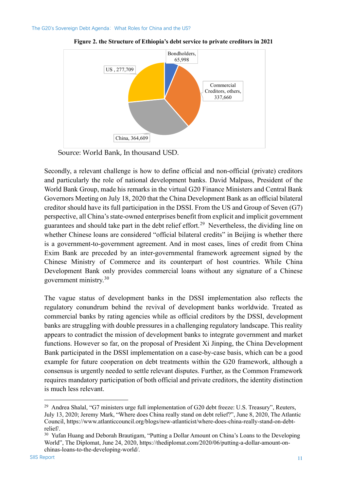

**Figure 2. the Structure of Ethiopia's debt service to private creditors in 2021**

Source: World Bank, In thousand USD.

Secondly, a relevant challenge is how to define official and non-official (private) creditors and particularly the role of national development banks. David Malpass, President of the World Bank Group, made his remarks in the virtual G20 Finance Ministers and Central Bank Governors Meeting on July 18, 2020 that the China Development Bank as an official bilateral creditor should have its full participation in the DSSI. From the US and Group of Seven (G7) perspective, all China's state-owned enterprises benefit from explicit and implicit government guarantees and should take part in the debt relief effort.<sup>[29](#page-18-0)</sup> Nevertheless, the dividing line on whether Chinese loans are considered "official bilateral credits" in Beijing is whether there is a government-to-government agreement. And in most cases, lines of credit from China Exim Bank are preceded by an inter-governmental framework agreement signed by the Chinese Ministry of Commerce and its counterpart of host countries. While China Development Bank only provides commercial loans without any signature of a Chinese government ministry.[30](#page-18-1)

The vague status of development banks in the DSSI implementation also reflects the regulatory conundrum behind the revival of development banks worldwide. Treated as commercial banks by rating agencies while as official creditors by the DSSI, development banks are struggling with double pressures in a challenging regulatory landscape. This reality appears to contradict the mission of development banks to integrate government and market functions. However so far, on the proposal of President Xi Jinping, the China Development Bank participated in the DSSI implementation on a case-by-case basis, which can be a good example for future cooperation on debt treatments within the G20 framework, although a consensus is urgently needed to settle relevant disputes. Further, as the Common Framework requires mandatory participation of both official and private creditors, the identity distinction is much less relevant.

<span id="page-18-0"></span><sup>&</sup>lt;sup>29</sup> Andrea Shalal, "G7 ministers urge full implementation of G20 debt freeze: U.S. Treasury", Reuters, July 13, 2020; Jeremy Mark, "Where does China really stand on debt relief?", June 8, 2020, The Atlantic Council, [https://www.atlanticcouncil.org/blogs/new-atlanticist/where-does-china-really-stand-on-debt](https://www.atlanticcouncil.org/blogs/new-atlanticist/where-does-china-really-stand-on-debt-relief/)[relief/.](https://www.atlanticcouncil.org/blogs/new-atlanticist/where-does-china-really-stand-on-debt-relief/)

<span id="page-18-1"></span><sup>&</sup>lt;sup>30</sup> Yufan Huang and Deborah Brautigam, "Putting a Dollar Amount on China's Loans to the Developing World", The Diplomat, June 24, 2020, https://thediplomat.com/2020/06/putting-a-dollar-amount-onchinas-loans-to-the-developing-world/.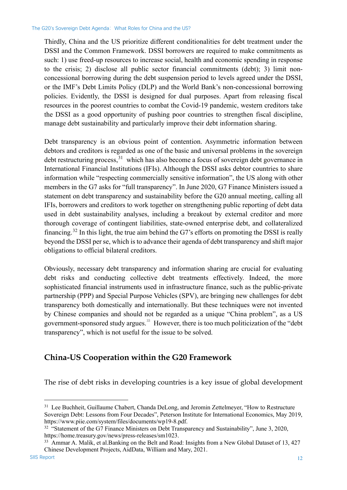Thirdly, China and the US prioritize different conditionalities for debt treatment under the DSSI and the Common Framework. DSSI borrowers are required to make commitments as such: 1) use freed-up resources to increase social, health and economic spending in response to the crisis; 2) disclose all public sector financial commitments (debt); 3) limit nonconcessional borrowing during the debt suspension period to levels agreed under the DSSI, or the IMF's Debt Limits Policy (DLP) and the World Bank's non-concessional borrowing policies. Evidently, the DSSI is designed for dual purposes. Apart from releasing fiscal resources in the poorest countries to combat the Covid-19 pandemic, western creditors take the DSSI as a good opportunity of pushing poor countries to strengthen fiscal discipline, manage debt sustainability and particularly improve their debt information sharing.

Debt transparency is an obvious point of contention. Asymmetric information between debtors and creditors is regarded as one of the basic and universal problems in the sovereign debt restructuring process,  $31$  which has also become a focus of sovereign debt governance in International Financial Institutions (IFIs). Although the DSSI asks debtor countries to share information while "respecting commercially sensitive information", the US along with other members in the G7 asks for "full transparency". In June 2020, G7 Finance Ministers issued a statement on debt transparency and sustainability before the G20 annual meeting, calling all IFIs, borrowers and creditors to work together on strengthening public reporting of debt data used in debt sustainability analyses, including a breakout by external creditor and more thorough coverage of contingent liabilities, state-owned enterprise debt, and collateralized financing.<sup>[32](#page-19-2)</sup> In this light, the true aim behind the G7's efforts on promoting the DSSI is really beyond the DSSI per se, which is to advance their agenda of debt transparency and shift major obligations to official bilateral creditors.

Obviously, necessary debt transparency and information sharing are crucial for evaluating debt risks and conducting collective debt treatments effectively. Indeed, the more sophisticated financial instruments used in infrastructure finance, such as the public-private partnership (PPP) and Special Purpose Vehicles (SPV), are bringing new challenges for debt transparency both domestically and internationally. But these techniques were not invented by Chinese companies and should not be regarded as a unique "China problem", as a US government-sponsored study argues.<sup>[33](#page-19-3)</sup> However, there is too much politicization of the "debt" transparency", which is not useful for the issue to be solved.

### <span id="page-19-0"></span>**China-US Cooperation within the G20 Framework**

The rise of debt risks in developing countries is a key issue of global development

<span id="page-19-1"></span><sup>&</sup>lt;sup>31</sup> Lee Buchheit, Guillaume Chabert, Chanda DeLong, and Jeromin Zettelmeyer, "How to Restructure Sovereign Debt: Lessons from Four Decades", Peterson Institute for International Economics, May 2019, https://www.piie.com/system/files/documents/wp19-8.pdf.

<span id="page-19-2"></span><sup>&</sup>lt;sup>32</sup> "Statement of the G7 Finance Ministers on Debt Transparency and Sustainability", June 3, 2020, https://home.treasury.gov/news/press-releases/sm1023.

<span id="page-19-3"></span><sup>&</sup>lt;sup>33</sup> Ammar A. Malik, et al.Banking on the Belt and Road: Insights from a New Global Dataset of 13, 427 Chinese Development Projects, AidData, William and Mary, 2021.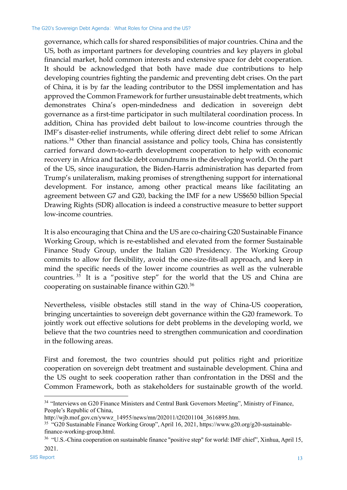governance, which calls for shared responsibilities of major countries. China and the US, both as important partners for developing countries and key players in global financial market, hold common interests and extensive space for debt cooperation. It should be acknowledged that both have made due contributions to help developing countries fighting the pandemic and preventing debt crises. On the part of China, it is by far the leading contributor to the DSSI implementation and has approved the Common Framework for further unsustainable debt treatments, which demonstrates China's open-mindedness and dedication in sovereign debt governance as a first-time participator in such multilateral coordination process. In addition, China has provided debt bailout to low-income countries through the IMF's disaster-relief instruments, while offering direct debt relief to some African nations.[34](#page-20-0) Other than financial assistance and policy tools, China has consistently carried forward down-to-earth development cooperation to help with economic recovery in Africa and tackle debt conundrums in the developing world. On the part of the US, since inauguration, the Biden-Harris administration has departed from Trump's unilateralism, making promises of strengthening support for international development. For instance, among other practical means like facilitating an agreement between G7 and G20, backing the IMF for a new US\$650 billion Special Drawing Rights (SDR) allocation is indeed a constructive measure to better support low-income countries.

It is also encouraging that China and the US are co-chairing G20 Sustainable Finance Working Group, which is re-established and elevated from the former Sustainable Finance Study Group, under the Italian G20 Presidency. The Working Group commits to allow for flexibility, avoid the one-size-fits-all approach, and keep in mind the specific needs of the lower income countries as well as the vulnerable countries.  $35$  It is a "positive step" for the world that the US and China are cooperating on sustainable finance within G20.[36](#page-20-2)

Nevertheless, visible obstacles still stand in the way of China-US cooperation, bringing uncertainties to sovereign debt governance within the G20 framework. To jointly work out effective solutions for debt problems in the developing world, we believe that the two countries need to strengthen communication and coordination in the following areas.

First and foremost, the two countries should put politics right and prioritize cooperation on sovereign debt treatment and sustainable development. China and the US ought to seek cooperation rather than confrontation in the DSSI and the Common Framework, both as stakeholders for sustainable growth of the world.

<span id="page-20-0"></span><sup>&</sup>lt;sup>34</sup> "Interviews on G20 Finance Ministers and Central Bank Governors Meeting", Ministry of Finance, People's Republic of China,

http://wjb.mof.gov.cn/ywwz\_14955/news/mn/202011/t20201104\_3616895.htm.

<span id="page-20-1"></span><sup>35</sup> "G20 Sustainable Finance Working Group", April 16, 2021, https://www.g20.org/g20-sustainablefinance-working-group.html.

<span id="page-20-2"></span><sup>36</sup> "U.S.-China cooperation on sustainable finance "positive step" for world: IMF chief", Xinhua, April 15, 2021.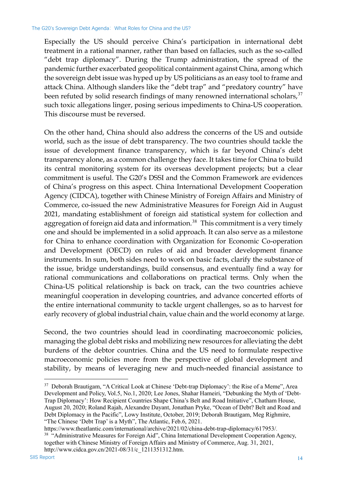Especially the US should perceive China's participation in international debt treatment in a rational manner, rather than based on fallacies, such as the so-called "debt trap diplomacy". During the Trump administration, the spread of the pandemic further exacerbated geopolitical containment against China, among which the sovereign debt issue was hyped up by US politicians as an easy tool to frame and attack China. Although slanders like the "debt trap" and "predatory country" have been refuted by solid research findings of many renowned international scholars,  $37$ such toxic allegations linger, posing serious impediments to China-US cooperation. This discourse must be reversed.

On the other hand, China should also address the concerns of the US and outside world, such as the issue of debt transparency. The two countries should tackle the issue of development finance transparency, which is far beyond China's debt transparency alone, as a common challenge they face. It takes time for China to build its central monitoring system for its overseas development projects; but a clear commitment is useful. The G20's DSSI and the Common Framework are evidences of China's progress on this aspect. China International Development Cooperation Agency (CIDCA), together with Chinese Ministry of Foreign Affairs and Ministry of Commerce, co-issued the new Administrative Measures for Foreign Aid in August 2021, mandating establishment of foreign aid statistical system for collection and aggregation of foreign aid data and information.<sup>[38](#page-21-1)</sup> This commitment is a very timely one and should be implemented in a solid approach. It can also serve as a milestone for China to enhance coordination with Organization for Economic Co-operation and Development (OECD) on rules of aid and broader development finance instruments. In sum, both sides need to work on basic facts, clarify the substance of the issue, bridge understandings, build consensus, and eventually find a way for rational communications and collaborations on practical terms. Only when the China-US political relationship is back on track, can the two countries achieve meaningful cooperation in developing countries, and advance concerted efforts of the entire international community to tackle urgent challenges, so as to harvest for early recovery of global industrial chain, value chain and the world economy at large.

Second, the two countries should lead in coordinating macroeconomic policies, managing the global debt risks and mobilizing new resources for alleviating the debt burdens of the debtor countries. China and the US need to formulate respective macroeconomic policies more from the perspective of global development and stability, by means of leveraging new and much-needed financial assistance to

<span id="page-21-0"></span><sup>&</sup>lt;sup>37</sup> Deborah Brautigam, "A Critical Look at Chinese 'Debt-trap Diplomacy': the Rise of a Meme", Area Development and Policy, Vol.5, No.1, 2020; Lee Jones, Shahar Hameiri, "Debunking the Myth of 'Debt-Trap Diplomacy': How Recipient Countries Shape China's Belt and Road Initiative", Chatham House, August 20, 2020; Roland Rajah, Alexandre Dayant, Jonathan Pryke, "Ocean of Debt? Belt and Road and Debt Diplomacy in the Pacific", Lowy Institute, October, 2019; Deborah Brautigam, Meg Righmire, "The Chinese 'Debt Trap' is a Myth", The Atlantic, Feb.6, 2021.

<span id="page-21-1"></span>https://www.theatlantic.com/international/archive/2021/02/china-debt-trap-diplomacy/617953/. <sup>38</sup> "Administrative Measures for Foreign Aid", China International Development Cooperation Agency, together with Chinese Ministry of Foreign Affairs and Ministry of Commerce, Aug. 31, 2021, http://www.cidca.gov.cn/2021-08/31/c\_1211351312.htm.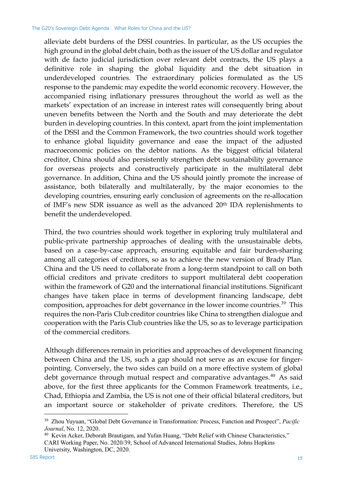alleviate debt burdens of the DSSI countries. In particular, as the US occupies the high ground in the global debt chain, both as the issuer of the US dollar and regulator with de facto judicial jurisdiction over relevant debt contracts, the US plays a definitive role in shaping the global liquidity and the debt situation in underdeveloped countries. The extraordinary policies formulated as the US response to the pandemic may expedite the world economic recovery. However, the accompanied rising inflationary pressures throughout the world as well as the markets' expectation of an increase in interest rates will consequently bring about uneven benefits between the North and the South and may deteriorate the debt burden in developing countries. In this context, apart from the joint implementation of the DSSI and the Common Framework, the two countries should work together to enhance global liquidity governance and ease the impact of the adjusted macroeconomic policies on the debtor nations. As the biggest official bilateral creditor, China should also persistently strengthen debt sustainability governance for overseas projects and constructively participate in the multilateral debt governance. In addition, China and the US should jointly promote the increase of assistance, both bilaterally and multilaterally, by the major economies to the developing countries, ensuring early conclusion of agreements on the re-allocation of IMF's new SDR issuance as well as the advanced 20th IDA replenishments to benefit the underdeveloped.

Third, the two countries should work together in exploring truly multilateral and public-private partnership approaches of dealing with the unsustainable debts, based on a case-by-case approach, ensuring equitable and fair burden-sharing among all categories of creditors, so as to achieve the new version of Brady Plan. China and the US need to collaborate from a long-term standpoint to call on both official creditors and private creditors to support multilateral debt cooperation within the framework of G20 and the international financial institutions. Significant changes have taken place in terms of development financing landscape, debt composition, approaches for debt governance in the lower income countries.<sup>[39](#page-22-0)</sup> This requires the non-Paris Club creditor countries like China to strengthen dialogue and cooperation with the Paris Club countries like the US, so as to leverage participation of the commercial creditors.

Although differences remain in priorities and approaches of development financing between China and the US, such a gap should not serve as an excuse for fingerpointing. Conversely, the two sides can build on a more effective system of global debt governance through mutual respect and comparative advantages.<sup>[40](#page-22-1)</sup> As said above, for the first three applicants for the Common Framework treatments, i.e., Chad, Ethiopia and Zambia, the US is not one of their official bilateral creditors, but an important source or stakeholder of private creditors. Therefore, the US

<span id="page-22-0"></span><sup>39</sup> Zhou Yuyuan, "Global Debt Governance in Transformation: Process, Function and Prospect", *Pacific Journal*, No. 12, 2020.

<span id="page-22-1"></span><sup>40</sup> Kevin Acker, Deborah Brautigam, and Yufan Huang, "Debt Relief with Chinese Characteristics," CARI Working Paper, No. 2020/39, School of Advanced International Studies, Johns Hopkins University, Washington, DC, 2020.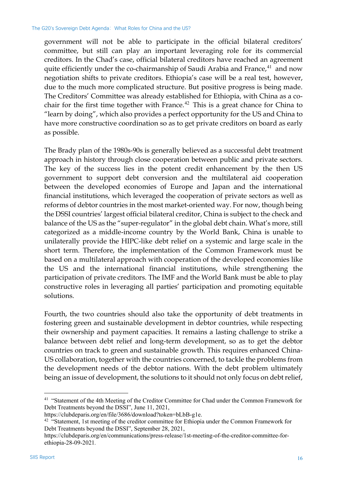government will not be able to participate in the official bilateral creditors' committee, but still can play an important leveraging role for its commercial creditors. In the Chad's case, official bilateral creditors have reached an agreement quite efficiently under the co-chairmanship of Saudi Arabia and France,<sup>[41](#page-23-0)</sup> and now negotiation shifts to private creditors. Ethiopia's case will be a real test, however, due to the much more complicated structure. But positive progress is being made. The Creditors' Committee was already established for Ethiopia, with China as a co-chair for the first time together with France.<sup>[42](#page-23-1)</sup> This is a great chance for China to "learn by doing", which also provides a perfect opportunity for the US and China to have more constructive coordination so as to get private creditors on board as early as possible.

The Brady plan of the 1980s-90s is generally believed as a successful debt treatment approach in history through close cooperation between public and private sectors. The key of the success lies in the potent credit enhancement by the then US government to support debt conversion and the multilateral aid cooperation between the developed economies of Europe and Japan and the international financial institutions, which leveraged the cooperation of private sectors as well as reforms of debtor countries in the most market-oriented way. For now, though being the DSSI countries' largest official bilateral creditor, China is subject to the check and balance of the US as the "super-regulator" in the global debt chain. What's more, still categorized as a middle-income country by the World Bank, China is unable to unilaterally provide the HIPC-like debt relief on a systemic and large scale in the short term. Therefore, the implementation of the Common Framework must be based on a multilateral approach with cooperation of the developed economies like the US and the international financial institutions, while strengthening the participation of private creditors. The IMF and the World Bank must be able to play constructive roles in leveraging all parties' participation and promoting equitable solutions.

Fourth, the two countries should also take the opportunity of debt treatments in fostering green and sustainable development in debtor countries, while respecting their ownership and payment capacities. It remains a lasting challenge to strike a balance between debt relief and long-term development, so as to get the debtor countries on track to green and sustainable growth. This requires enhanced China-US collaboration, together with the countries concerned, to tackle the problems from the development needs of the debtor nations. With the debt problem ultimately being an issue of development, the solutions to it should not only focus on debt relief,

<span id="page-23-0"></span><sup>&</sup>lt;sup>41</sup> "Statement of the 4th Meeting of the Creditor Committee for Chad under the Common Framework for Debt Treatments beyond the DSSI", June 11, 2021,

https://clubdeparis.org/en/file/3686/download?token=bLbB-g1e.

<span id="page-23-1"></span><sup>&</sup>lt;sup>42</sup> "Statement, 1st meeting of the creditor committee for Ethiopia under the Common Framework for Debt Treatments beyond the DSSI", September 28, 2021,

[https://clubdeparis.org/en/communications/press-release/1st-meeting-of-the-creditor-committee-for](https://clubdeparis.org/en/communications/press-release/1st-meeting-of-the-creditor-committee-for-ethiopia-28-09-2021)[ethiopia-28-09-2021](https://clubdeparis.org/en/communications/press-release/1st-meeting-of-the-creditor-committee-for-ethiopia-28-09-2021)*.*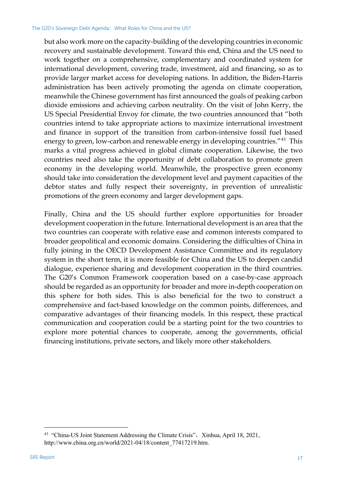but also work more on the capacity-building of the developing countries in economic recovery and sustainable development. Toward this end, China and the US need to work together on a comprehensive, complementary and coordinated system for international development, covering trade, investment, aid and financing, so as to provide larger market access for developing nations. In addition, the Biden-Harris administration has been actively promoting the agenda on climate cooperation, meanwhile the Chinese government has first announced the goals of peaking carbon dioxide emissions and achieving carbon neutrality. On the visit of John Kerry, the US Special Presidential Envoy for climate, the two countries announced that "both countries intend to take appropriate actions to maximize international investment and finance in support of the transition from carbon-intensive fossil fuel based energy to green, low-carbon and renewable energy in developing countries."<sup>[43](#page-24-0)</sup> This marks a vital progress achieved in global climate cooperation. Likewise, the two countries need also take the opportunity of debt collaboration to promote green economy in the developing world. Meanwhile, the prospective green economy should take into consideration the development level and payment capacities of the debtor states and fully respect their sovereignty, in prevention of unrealistic promotions of the green economy and larger development gaps.

Finally, China and the US should further explore opportunities for broader development cooperation in the future. International development is an area that the two countries can cooperate with relative ease and common interests compared to broader geopolitical and economic domains. Considering the difficulties of China in fully joining in the OECD Development Assistance Committee and its regulatory system in the short term, it is more feasible for China and the US to deepen candid dialogue, experience sharing and development cooperation in the third countries. The G20's Common Framework cooperation based on a case-by-case approach should be regarded as an opportunity for broader and more in-depth cooperation on this sphere for both sides. This is also beneficial for the two to construct a comprehensive and fact-based knowledge on the common points, differences, and comparative advantages of their financing models. In this respect, these practical communication and cooperation could be a starting point for the two countries to explore more potential chances to cooperate, among the governments, official financing institutions, private sectors, and likely more other stakeholders.

<span id="page-24-0"></span><sup>&</sup>lt;sup>43</sup> "China-US Joint Statement Addressing the Climate Crisis", Xinhua, April 18, 2021, http://www.china.org.cn/world/2021-04/18/content\_77417219.htm.